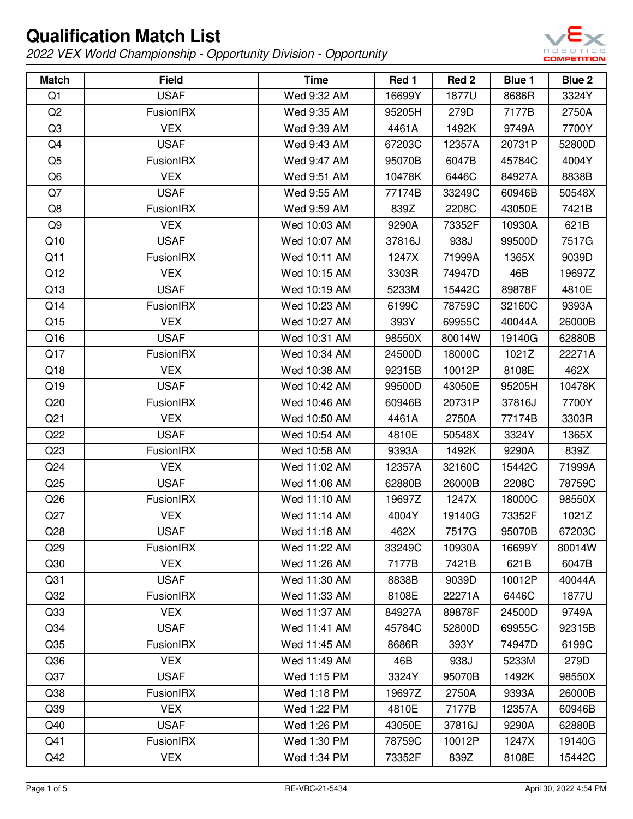

| <b>Match</b>    | <b>Field</b>     | <b>Time</b>  | Red 1  | Red 2  | Blue 1 | <b>Blue 2</b> |
|-----------------|------------------|--------------|--------|--------|--------|---------------|
| Q1              | <b>USAF</b>      | Wed 9:32 AM  | 16699Y | 1877U  | 8686R  | 3324Y         |
| Q <sub>2</sub>  | FusionIRX        | Wed 9:35 AM  | 95205H | 279D   | 7177B  | 2750A         |
| Q3              | <b>VEX</b>       | Wed 9:39 AM  | 4461A  | 1492K  | 9749A  | 7700Y         |
| Q4              | <b>USAF</b>      | Wed 9:43 AM  | 67203C | 12357A | 20731P | 52800D        |
| Q <sub>5</sub>  | FusionIRX        | Wed 9:47 AM  | 95070B | 6047B  | 45784C | 4004Y         |
| Q6              | <b>VEX</b>       | Wed 9:51 AM  | 10478K | 6446C  | 84927A | 8838B         |
| Q7              | <b>USAF</b>      | Wed 9:55 AM  | 77174B | 33249C | 60946B | 50548X        |
| Q8              | <b>FusionIRX</b> | Wed 9:59 AM  | 839Z   | 2208C  | 43050E | 7421B         |
| Q <sub>9</sub>  | <b>VEX</b>       | Wed 10:03 AM | 9290A  | 73352F | 10930A | 621B          |
| Q10             | <b>USAF</b>      | Wed 10:07 AM | 37816J | 938J   | 99500D | 7517G         |
| Q11             | FusionIRX        | Wed 10:11 AM | 1247X  | 71999A | 1365X  | 9039D         |
| Q12             | <b>VEX</b>       | Wed 10:15 AM | 3303R  | 74947D | 46B    | 19697Z        |
| Q13             | <b>USAF</b>      | Wed 10:19 AM | 5233M  | 15442C | 89878F | 4810E         |
| Q14             | FusionIRX        | Wed 10:23 AM | 6199C  | 78759C | 32160C | 9393A         |
| Q15             | <b>VEX</b>       | Wed 10:27 AM | 393Y   | 69955C | 40044A | 26000B        |
| Q16             | <b>USAF</b>      | Wed 10:31 AM | 98550X | 80014W | 19140G | 62880B        |
| Q17             | FusionIRX        | Wed 10:34 AM | 24500D | 18000C | 1021Z  | 22271A        |
| Q18             | <b>VEX</b>       | Wed 10:38 AM | 92315B | 10012P | 8108E  | 462X          |
| Q19             | <b>USAF</b>      | Wed 10:42 AM | 99500D | 43050E | 95205H | 10478K        |
| Q20             | FusionIRX        | Wed 10:46 AM | 60946B | 20731P | 37816J | 7700Y         |
| Q <sub>21</sub> | <b>VEX</b>       | Wed 10:50 AM | 4461A  | 2750A  | 77174B | 3303R         |
| Q22             | <b>USAF</b>      | Wed 10:54 AM | 4810E  | 50548X | 3324Y  | 1365X         |
| Q <sub>23</sub> | <b>FusionIRX</b> | Wed 10:58 AM | 9393A  | 1492K  | 9290A  | 839Z          |
| Q24             | <b>VEX</b>       | Wed 11:02 AM | 12357A | 32160C | 15442C | 71999A        |
| Q <sub>25</sub> | <b>USAF</b>      | Wed 11:06 AM | 62880B | 26000B | 2208C  | 78759C        |
| Q26             | FusionIRX        | Wed 11:10 AM | 19697Z | 1247X  | 18000C | 98550X        |
| Q27             | <b>VEX</b>       | Wed 11:14 AM | 4004Y  | 19140G | 73352F | 1021Z         |
| Q28             | <b>USAF</b>      | Wed 11:18 AM | 462X   | 7517G  | 95070B | 67203C        |
| Q <sub>29</sub> | <b>FusionIRX</b> | Wed 11:22 AM | 33249C | 10930A | 16699Y | 80014W        |
| Q30             | <b>VEX</b>       | Wed 11:26 AM | 7177B  | 7421B  | 621B   | 6047B         |
| Q <sub>31</sub> | <b>USAF</b>      | Wed 11:30 AM | 8838B  | 9039D  | 10012P | 40044A        |
| Q <sub>32</sub> | FusionIRX        | Wed 11:33 AM | 8108E  | 22271A | 6446C  | 1877U         |
| Q <sub>33</sub> | <b>VEX</b>       | Wed 11:37 AM | 84927A | 89878F | 24500D | 9749A         |
| Q <sub>34</sub> | <b>USAF</b>      | Wed 11:41 AM | 45784C | 52800D | 69955C | 92315B        |
| Q <sub>35</sub> | FusionIRX        | Wed 11:45 AM | 8686R  | 393Y   | 74947D | 6199C         |
| Q36             | <b>VEX</b>       | Wed 11:49 AM | 46B    | 938J   | 5233M  | 279D          |
| Q <sub>37</sub> | <b>USAF</b>      | Wed 1:15 PM  | 3324Y  | 95070B | 1492K  | 98550X        |
| Q <sub>38</sub> | FusionIRX        | Wed 1:18 PM  | 19697Z | 2750A  | 9393A  | 26000B        |
| Q39             | <b>VEX</b>       | Wed 1:22 PM  | 4810E  | 7177B  | 12357A | 60946B        |
| Q40             | <b>USAF</b>      | Wed 1:26 PM  | 43050E | 37816J | 9290A  | 62880B        |
| Q41             | <b>FusionIRX</b> | Wed 1:30 PM  | 78759C | 10012P | 1247X  | 19140G        |
| Q42             | <b>VEX</b>       | Wed 1:34 PM  | 73352F | 839Z   | 8108E  | 15442C        |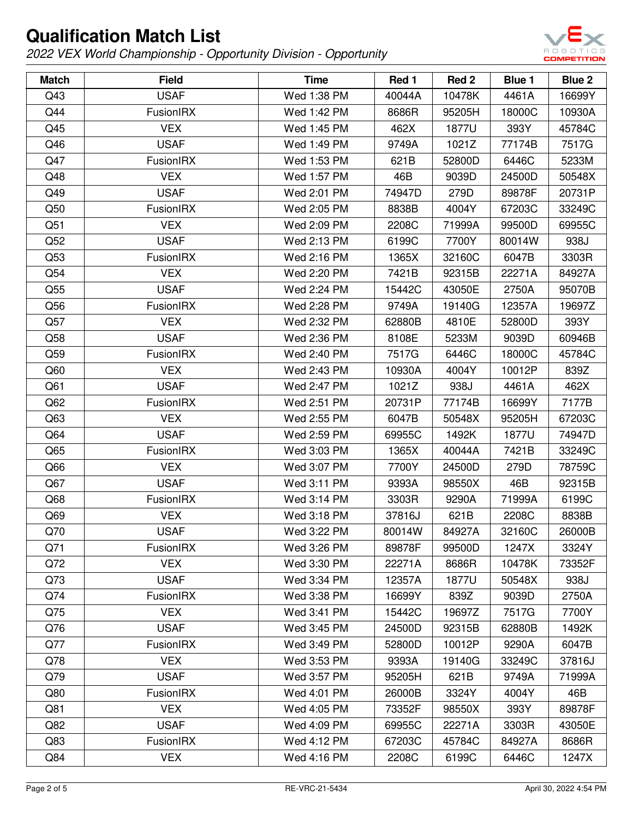

| <b>Match</b>    | <b>Field</b>     | <b>Time</b> | Red 1  | Red 2  | Blue 1 | Blue 2 |
|-----------------|------------------|-------------|--------|--------|--------|--------|
| Q43             | <b>USAF</b>      | Wed 1:38 PM | 40044A | 10478K | 4461A  | 16699Y |
| Q44             | FusionIRX        | Wed 1:42 PM | 8686R  | 95205H | 18000C | 10930A |
| Q45             | <b>VEX</b>       | Wed 1:45 PM | 462X   | 1877U  | 393Y   | 45784C |
| Q46             | <b>USAF</b>      | Wed 1:49 PM | 9749A  | 1021Z  | 77174B | 7517G  |
| Q47             | FusionIRX        | Wed 1:53 PM | 621B   | 52800D | 6446C  | 5233M  |
| Q48             | <b>VEX</b>       | Wed 1:57 PM | 46B    | 9039D  | 24500D | 50548X |
| Q49             | <b>USAF</b>      | Wed 2:01 PM | 74947D | 279D   | 89878F | 20731P |
| Q50             | FusionIRX        | Wed 2:05 PM | 8838B  | 4004Y  | 67203C | 33249C |
| Q51             | <b>VEX</b>       | Wed 2:09 PM | 2208C  | 71999A | 99500D | 69955C |
| Q52             | <b>USAF</b>      | Wed 2:13 PM | 6199C  | 7700Y  | 80014W | 938J   |
| Q53             | FusionIRX        | Wed 2:16 PM | 1365X  | 32160C | 6047B  | 3303R  |
| Q54             | <b>VEX</b>       | Wed 2:20 PM | 7421B  | 92315B | 22271A | 84927A |
| Q55             | <b>USAF</b>      | Wed 2:24 PM | 15442C | 43050E | 2750A  | 95070B |
| Q56             | FusionIRX        | Wed 2:28 PM | 9749A  | 19140G | 12357A | 19697Z |
| Q57             | <b>VEX</b>       | Wed 2:32 PM | 62880B | 4810E  | 52800D | 393Y   |
| Q58             | <b>USAF</b>      | Wed 2:36 PM | 8108E  | 5233M  | 9039D  | 60946B |
| Q59             | FusionIRX        | Wed 2:40 PM | 7517G  | 6446C  | 18000C | 45784C |
| Q60             | <b>VEX</b>       | Wed 2:43 PM | 10930A | 4004Y  | 10012P | 839Z   |
| Q <sub>61</sub> | <b>USAF</b>      | Wed 2:47 PM | 1021Z  | 938J   | 4461A  | 462X   |
| Q62             | FusionIRX        | Wed 2:51 PM | 20731P | 77174B | 16699Y | 7177B  |
| Q63             | <b>VEX</b>       | Wed 2:55 PM | 6047B  | 50548X | 95205H | 67203C |
| Q64             | <b>USAF</b>      | Wed 2:59 PM | 69955C | 1492K  | 1877U  | 74947D |
| Q65             | FusionIRX        | Wed 3:03 PM | 1365X  | 40044A | 7421B  | 33249C |
| Q66             | <b>VEX</b>       | Wed 3:07 PM | 7700Y  | 24500D | 279D   | 78759C |
| Q67             | <b>USAF</b>      | Wed 3:11 PM | 9393A  | 98550X | 46B    | 92315B |
| Q <sub>68</sub> | FusionIRX        | Wed 3:14 PM | 3303R  | 9290A  | 71999A | 6199C  |
| Q69             | <b>VEX</b>       | Wed 3:18 PM | 37816J | 621B   | 2208C  | 8838B  |
| Q70             | <b>USAF</b>      | Wed 3:22 PM | 80014W | 84927A | 32160C | 26000B |
| Q71             | FusionIRX        | Wed 3:26 PM | 89878F | 99500D | 1247X  | 3324Y  |
| Q72             | <b>VEX</b>       | Wed 3:30 PM | 22271A | 8686R  | 10478K | 73352F |
| Q73             | <b>USAF</b>      | Wed 3:34 PM | 12357A | 1877U  | 50548X | 938J   |
| Q74             | FusionIRX        | Wed 3:38 PM | 16699Y | 839Z   | 9039D  | 2750A  |
| Q75             | <b>VEX</b>       | Wed 3:41 PM | 15442C | 19697Z | 7517G  | 7700Y  |
| Q76             | <b>USAF</b>      | Wed 3:45 PM | 24500D | 92315B | 62880B | 1492K  |
| Q77             | <b>FusionIRX</b> | Wed 3:49 PM | 52800D | 10012P | 9290A  | 6047B  |
| Q78             | <b>VEX</b>       | Wed 3:53 PM | 9393A  | 19140G | 33249C | 37816J |
| Q79             | <b>USAF</b>      | Wed 3:57 PM | 95205H | 621B   | 9749A  | 71999A |
| Q80             | <b>FusionIRX</b> | Wed 4:01 PM | 26000B | 3324Y  | 4004Y  | 46B    |
| Q81             | <b>VEX</b>       | Wed 4:05 PM | 73352F | 98550X | 393Y   | 89878F |
| Q82             | <b>USAF</b>      | Wed 4:09 PM | 69955C | 22271A | 3303R  | 43050E |
| Q83             | FusionIRX        | Wed 4:12 PM | 67203C | 45784C | 84927A | 8686R  |
| Q84             | <b>VEX</b>       | Wed 4:16 PM | 2208C  | 6199C  | 6446C  | 1247X  |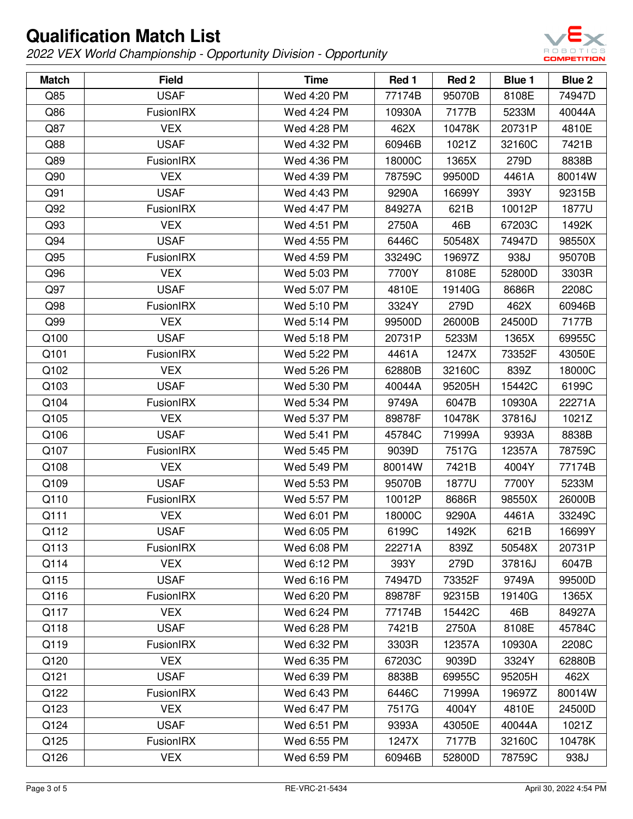

| <b>Match</b> | <b>Field</b>     | <b>Time</b> | Red 1  | Red 2  | Blue 1 | <b>Blue 2</b> |
|--------------|------------------|-------------|--------|--------|--------|---------------|
| Q85          | <b>USAF</b>      | Wed 4:20 PM | 77174B | 95070B | 8108E  | 74947D        |
| Q86          | <b>FusionIRX</b> | Wed 4:24 PM | 10930A | 7177B  | 5233M  | 40044A        |
| Q87          | <b>VEX</b>       | Wed 4:28 PM | 462X   | 10478K | 20731P | 4810E         |
| Q88          | <b>USAF</b>      | Wed 4:32 PM | 60946B | 1021Z  | 32160C | 7421B         |
| Q89          | FusionIRX        | Wed 4:36 PM | 18000C | 1365X  | 279D   | 8838B         |
| Q90          | <b>VEX</b>       | Wed 4:39 PM | 78759C | 99500D | 4461A  | 80014W        |
| Q91          | <b>USAF</b>      | Wed 4:43 PM | 9290A  | 16699Y | 393Y   | 92315B        |
| Q92          | FusionIRX        | Wed 4:47 PM | 84927A | 621B   | 10012P | 1877U         |
| Q93          | <b>VEX</b>       | Wed 4:51 PM | 2750A  | 46B    | 67203C | 1492K         |
| Q94          | <b>USAF</b>      | Wed 4:55 PM | 6446C  | 50548X | 74947D | 98550X        |
| Q95          | FusionIRX        | Wed 4:59 PM | 33249C | 19697Z | 938J   | 95070B        |
| Q96          | <b>VEX</b>       | Wed 5:03 PM | 7700Y  | 8108E  | 52800D | 3303R         |
| Q97          | <b>USAF</b>      | Wed 5:07 PM | 4810E  | 19140G | 8686R  | 2208C         |
| Q98          | FusionIRX        | Wed 5:10 PM | 3324Y  | 279D   | 462X   | 60946B        |
| Q99          | <b>VEX</b>       | Wed 5:14 PM | 99500D | 26000B | 24500D | 7177B         |
| Q100         | <b>USAF</b>      | Wed 5:18 PM | 20731P | 5233M  | 1365X  | 69955C        |
| Q101         | FusionIRX        | Wed 5:22 PM | 4461A  | 1247X  | 73352F | 43050E        |
| Q102         | <b>VEX</b>       | Wed 5:26 PM | 62880B | 32160C | 839Z   | 18000C        |
| Q103         | <b>USAF</b>      | Wed 5:30 PM | 40044A | 95205H | 15442C | 6199C         |
| Q104         | FusionIRX        | Wed 5:34 PM | 9749A  | 6047B  | 10930A | 22271A        |
| Q105         | <b>VEX</b>       | Wed 5:37 PM | 89878F | 10478K | 37816J | 1021Z         |
| Q106         | <b>USAF</b>      | Wed 5:41 PM | 45784C | 71999A | 9393A  | 8838B         |
| Q107         | FusionIRX        | Wed 5:45 PM | 9039D  | 7517G  | 12357A | 78759C        |
| Q108         | <b>VEX</b>       | Wed 5:49 PM | 80014W | 7421B  | 4004Y  | 77174B        |
| Q109         | <b>USAF</b>      | Wed 5:53 PM | 95070B | 1877U  | 7700Y  | 5233M         |
| Q110         | <b>FusionIRX</b> | Wed 5:57 PM | 10012P | 8686R  | 98550X | 26000B        |
| Q111         | <b>VEX</b>       | Wed 6:01 PM | 18000C | 9290A  | 4461A  | 33249C        |
| Q112         | <b>USAF</b>      | Wed 6:05 PM | 6199C  | 1492K  | 621B   | 16699Y        |
| Q113         | FusionIRX        | Wed 6:08 PM | 22271A | 839Z   | 50548X | 20731P        |
| Q114         | <b>VEX</b>       | Wed 6:12 PM | 393Y   | 279D   | 37816J | 6047B         |
| Q115         | <b>USAF</b>      | Wed 6:16 PM | 74947D | 73352F | 9749A  | 99500D        |
| Q116         | FusionIRX        | Wed 6:20 PM | 89878F | 92315B | 19140G | 1365X         |
| Q117         | <b>VEX</b>       | Wed 6:24 PM | 77174B | 15442C | 46B    | 84927A        |
| Q118         | <b>USAF</b>      | Wed 6:28 PM | 7421B  | 2750A  | 8108E  | 45784C        |
| Q119         | FusionIRX        | Wed 6:32 PM | 3303R  | 12357A | 10930A | 2208C         |
| Q120         | <b>VEX</b>       | Wed 6:35 PM | 67203C | 9039D  | 3324Y  | 62880B        |
| Q121         | <b>USAF</b>      | Wed 6:39 PM | 8838B  | 69955C | 95205H | 462X          |
| Q122         | FusionIRX        | Wed 6:43 PM | 6446C  | 71999A | 19697Z | 80014W        |
| Q123         | <b>VEX</b>       | Wed 6:47 PM | 7517G  | 4004Y  | 4810E  | 24500D        |
| Q124         | <b>USAF</b>      | Wed 6:51 PM | 9393A  | 43050E | 40044A | 1021Z         |
| Q125         | <b>FusionIRX</b> | Wed 6:55 PM | 1247X  | 7177B  | 32160C | 10478K        |
| Q126         | <b>VEX</b>       | Wed 6:59 PM | 60946B | 52800D | 78759C | 938J          |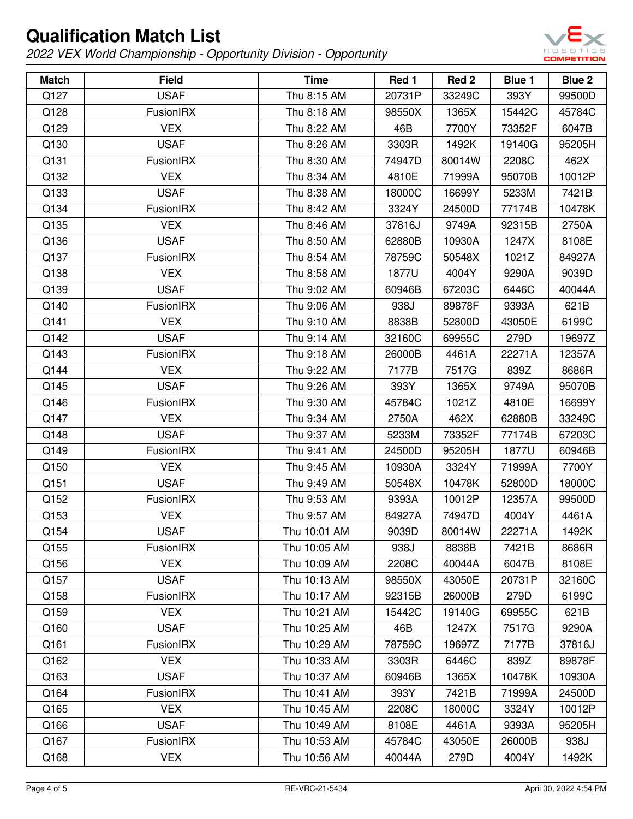

| <b>Match</b> | <b>Field</b>     | <b>Time</b>  | Red 1  | Red 2  | Blue 1 | <b>Blue 2</b> |
|--------------|------------------|--------------|--------|--------|--------|---------------|
| Q127         | <b>USAF</b>      | Thu 8:15 AM  | 20731P | 33249C | 393Y   | 99500D        |
| Q128         | FusionIRX        | Thu 8:18 AM  | 98550X | 1365X  | 15442C | 45784C        |
| Q129         | <b>VEX</b>       | Thu 8:22 AM  | 46B    | 7700Y  | 73352F | 6047B         |
| Q130         | <b>USAF</b>      | Thu 8:26 AM  | 3303R  | 1492K  | 19140G | 95205H        |
| Q131         | <b>FusionIRX</b> | Thu 8:30 AM  | 74947D | 80014W | 2208C  | 462X          |
| Q132         | <b>VEX</b>       | Thu 8:34 AM  | 4810E  | 71999A | 95070B | 10012P        |
| Q133         | <b>USAF</b>      | Thu 8:38 AM  | 18000C | 16699Y | 5233M  | 7421B         |
| Q134         | FusionIRX        | Thu 8:42 AM  | 3324Y  | 24500D | 77174B | 10478K        |
| Q135         | <b>VEX</b>       | Thu 8:46 AM  | 37816J | 9749A  | 92315B | 2750A         |
| Q136         | <b>USAF</b>      | Thu 8:50 AM  | 62880B | 10930A | 1247X  | 8108E         |
| Q137         | <b>FusionIRX</b> | Thu 8:54 AM  | 78759C | 50548X | 1021Z  | 84927A        |
| Q138         | <b>VEX</b>       | Thu 8:58 AM  | 1877U  | 4004Y  | 9290A  | 9039D         |
| Q139         | <b>USAF</b>      | Thu 9:02 AM  | 60946B | 67203C | 6446C  | 40044A        |
| Q140         | <b>FusionIRX</b> | Thu 9:06 AM  | 938J   | 89878F | 9393A  | 621B          |
| Q141         | <b>VEX</b>       | Thu 9:10 AM  | 8838B  | 52800D | 43050E | 6199C         |
| Q142         | <b>USAF</b>      | Thu 9:14 AM  | 32160C | 69955C | 279D   | 19697Z        |
| Q143         | FusionIRX        | Thu 9:18 AM  | 26000B | 4461A  | 22271A | 12357A        |
| Q144         | <b>VEX</b>       | Thu 9:22 AM  | 7177B  | 7517G  | 839Z   | 8686R         |
| Q145         | <b>USAF</b>      | Thu 9:26 AM  | 393Y   | 1365X  | 9749A  | 95070B        |
| Q146         | <b>FusionIRX</b> | Thu 9:30 AM  | 45784C | 1021Z  | 4810E  | 16699Y        |
| Q147         | <b>VEX</b>       | Thu 9:34 AM  | 2750A  | 462X   | 62880B | 33249C        |
| Q148         | <b>USAF</b>      | Thu 9:37 AM  | 5233M  | 73352F | 77174B | 67203C        |
| Q149         | <b>FusionIRX</b> | Thu 9:41 AM  | 24500D | 95205H | 1877U  | 60946B        |
| Q150         | <b>VEX</b>       | Thu 9:45 AM  | 10930A | 3324Y  | 71999A | 7700Y         |
| Q151         | <b>USAF</b>      | Thu 9:49 AM  | 50548X | 10478K | 52800D | 18000C        |
| Q152         | <b>FusionIRX</b> | Thu 9:53 AM  | 9393A  | 10012P | 12357A | 99500D        |
| Q153         | <b>VEX</b>       | Thu 9:57 AM  | 84927A | 74947D | 4004Y  | 4461A         |
| Q154         | <b>USAF</b>      | Thu 10:01 AM | 9039D  | 80014W | 22271A | 1492K         |
| Q155         | FusionIRX        | Thu 10:05 AM | 938J   | 8838B  | 7421B  | 8686R         |
| Q156         | <b>VEX</b>       | Thu 10:09 AM | 2208C  | 40044A | 6047B  | 8108E         |
| Q157         | <b>USAF</b>      | Thu 10:13 AM | 98550X | 43050E | 20731P | 32160C        |
| Q158         | FusionIRX        | Thu 10:17 AM | 92315B | 26000B | 279D   | 6199C         |
| Q159         | <b>VEX</b>       | Thu 10:21 AM | 15442C | 19140G | 69955C | 621B          |
| Q160         | <b>USAF</b>      | Thu 10:25 AM | 46B    | 1247X  | 7517G  | 9290A         |
| Q161         | <b>FusionIRX</b> | Thu 10:29 AM | 78759C | 19697Z | 7177B  | 37816J        |
| Q162         | <b>VEX</b>       | Thu 10:33 AM | 3303R  | 6446C  | 839Z   | 89878F        |
| Q163         | <b>USAF</b>      | Thu 10:37 AM | 60946B | 1365X  | 10478K | 10930A        |
| Q164         | FusionIRX        | Thu 10:41 AM | 393Y   | 7421B  | 71999A | 24500D        |
| Q165         | <b>VEX</b>       | Thu 10:45 AM | 2208C  | 18000C | 3324Y  | 10012P        |
| Q166         | <b>USAF</b>      | Thu 10:49 AM | 8108E  | 4461A  | 9393A  | 95205H        |
| Q167         | <b>FusionIRX</b> | Thu 10:53 AM | 45784C | 43050E | 26000B | 938J          |
| Q168         | <b>VEX</b>       | Thu 10:56 AM | 40044A | 279D   | 4004Y  | 1492K         |